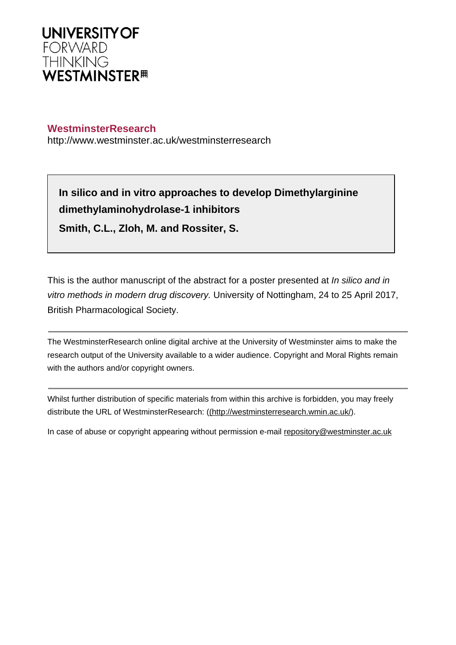

## **WestminsterResearch**

http://www.westminster.ac.uk/westminsterresearch

**In silico and in vitro approaches to develop Dimethylarginine dimethylaminohydrolase-1 inhibitors Smith, C.L., Zloh, M. and Rossiter, S.**

This is the author manuscript of the abstract for a poster presented at *In silico and in* vitro methods in modern drug discovery. University of Nottingham, 24 to 25 April 2017, British Pharmacological Society.

The WestminsterResearch online digital archive at the University of Westminster aims to make the research output of the University available to a wider audience. Copyright and Moral Rights remain with the authors and/or copyright owners.

Whilst further distribution of specific materials from within this archive is forbidden, you may freely distribute the URL of WestminsterResearch: [\(\(http://westminsterresearch.wmin.ac.uk/](http://westminsterresearch.wmin.ac.uk/)).

In case of abuse or copyright appearing without permission e-mail <repository@westminster.ac.uk>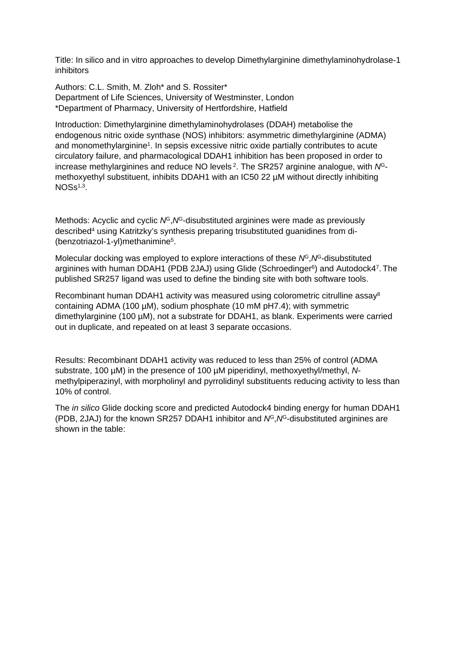Title: In silico and in vitro approaches to develop Dimethylarginine dimethylaminohydrolase-1 inhibitors

Authors: C.L. Smith, M. Zloh\* and S. Rossiter\* Department of Life Sciences, University of Westminster, London \*Department of Pharmacy, University of Hertfordshire, Hatfield

Introduction: Dimethylarginine dimethylaminohydrolases (DDAH) metabolise the endogenous nitric oxide synthase (NOS) inhibitors: asymmetric dimethylarginine (ADMA) and monomethylarginine<sup>1</sup>. In sepsis excessive nitric oxide partially contributes to acute circulatory failure, and pharmacological DDAH1 inhibition has been proposed in order to increase methylarginines and reduce NO levels 2. The SR257 arginine analogue, with *N*Gmethoxyethyl substituent, inhibits DDAH1 with an IC50 22 µM without directly inhibiting  $NOSs<sup>1,3</sup>$ .

Methods: Acyclic and cyclic  $N^G$ ,  $N^G$ -disubstituted arginines were made as previously described<sup>4</sup> using Katritzky's synthesis preparing trisubstituted guanidines from di- (benzotriazol-1-yl)methanimine<sup>5</sup> .

Molecular docking was employed to explore interactions of these *N*<sup>G</sup>,*N*<sup>G</sup>-disubstituted arginines with human DDAH1 (PDB 2JAJ) using Glide (Schroedinger<sup>6</sup>) and Autodock4<sup>7</sup>. The published SR257 ligand was used to define the binding site with both software tools.

Recombinant human DDAH1 activity was measured using colorometric citrulline assay<sup>8</sup> containing ADMA (100 µM), sodium phosphate (10 mM pH7.4); with symmetric dimethylarginine (100 µM), not a substrate for DDAH1, as blank. Experiments were carried out in duplicate, and repeated on at least 3 separate occasions.

Results: Recombinant DDAH1 activity was reduced to less than 25% of control (ADMA substrate, 100 µM) in the presence of 100 µM piperidinyl, methoxyethyl/methyl, *N*methylpiperazinyl, with morpholinyl and pyrrolidinyl substituents reducing activity to less than 10% of control.

The *in silico* Glide docking score and predicted Autodock4 binding energy for human DDAH1 (PDB, 2JAJ) for the known SR257 DDAH1 inhibitor and *N<sup>G</sup>*, *N<sup>G</sup>*-disubstituted arginines are shown in the table: